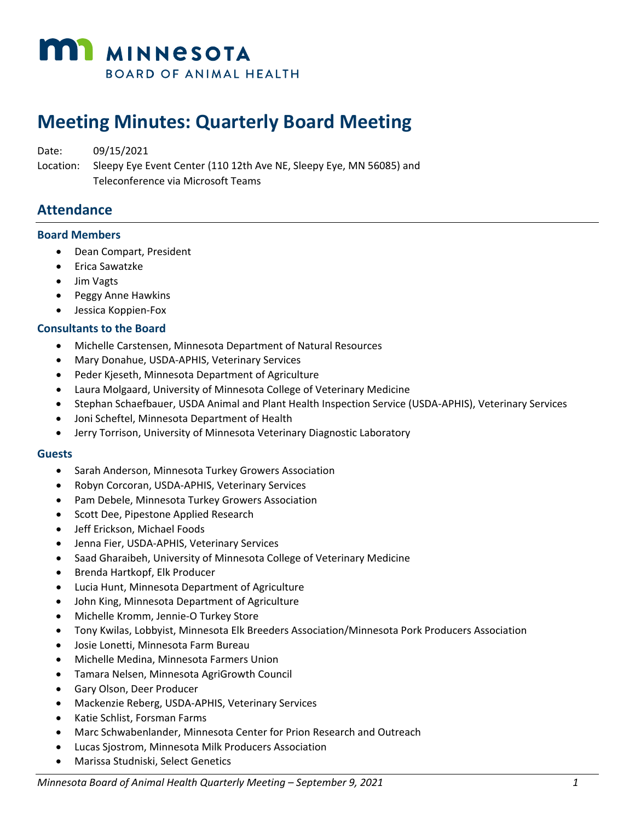

# **Meeting Minutes: Quarterly Board Meeting**

Date: 09/15/2021 Location: Sleepy Eye Event Center (110 12th Ave NE, Sleepy Eye, MN 56085) and Teleconference via Microsoft Teams

## **Attendance**

#### **Board Members**

- Dean Compart, President
- Erica Sawatzke
- Jim Vagts
- Peggy Anne Hawkins
- Jessica Koppien-Fox

#### **Consultants to the Board**

- Michelle Carstensen, Minnesota Department of Natural Resources
- Mary Donahue, USDA-APHIS, Veterinary Services
- Peder Kjeseth, Minnesota Department of Agriculture
- Laura Molgaard, University of Minnesota College of Veterinary Medicine
- Stephan Schaefbauer, USDA Animal and Plant Health Inspection Service (USDA-APHIS), Veterinary Services
- Joni Scheftel, Minnesota Department of Health
- Jerry Torrison, University of Minnesota Veterinary Diagnostic Laboratory

#### **Guests**

- Sarah Anderson, Minnesota Turkey Growers Association
- Robyn Corcoran, USDA-APHIS, Veterinary Services
- Pam Debele, Minnesota Turkey Growers Association
- Scott Dee, Pipestone Applied Research
- Jeff Erickson, Michael Foods
- Jenna Fier, USDA-APHIS, Veterinary Services
- Saad Gharaibeh, University of Minnesota College of Veterinary Medicine
- Brenda Hartkopf, Elk Producer
- Lucia Hunt, Minnesota Department of Agriculture
- John King, Minnesota Department of Agriculture
- Michelle Kromm, Jennie-O Turkey Store
- Tony Kwilas, Lobbyist, Minnesota Elk Breeders Association/Minnesota Pork Producers Association
- Josie Lonetti, Minnesota Farm Bureau
- Michelle Medina, Minnesota Farmers Union
- Tamara Nelsen, Minnesota AgriGrowth Council
- Gary Olson, Deer Producer
- Mackenzie Reberg, USDA-APHIS, Veterinary Services
- Katie Schlist, Forsman Farms
- Marc Schwabenlander, Minnesota Center for Prion Research and Outreach
- Lucas Sjostrom, Minnesota Milk Producers Association
- Marissa Studniski, Select Genetics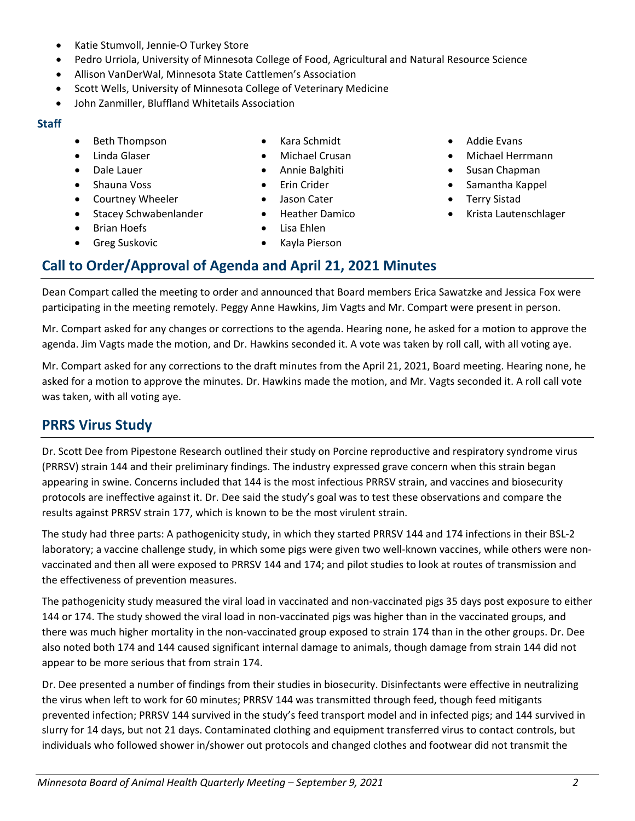- Jason Cater • Heather Damico
	-
	-
	- Greg Suskovic
- Lisa Ehlen
- 

### **Call to Order/Approval of Agenda and April 21, 2021 Minutes**

Dean Compart called the meeting to order and announced that Board members Erica Sawatzke and Jessica Fox were participating in the meeting remotely. Peggy Anne Hawkins, Jim Vagts and Mr. Compart were present in person.

Mr. Compart asked for any changes or corrections to the agenda. Hearing none, he asked for a motion to approve the agenda. Jim Vagts made the motion, and Dr. Hawkins seconded it. A vote was taken by roll call, with all voting aye.

Mr. Compart asked for any corrections to the draft minutes from the April 21, 2021, Board meeting. Hearing none, he asked for a motion to approve the minutes. Dr. Hawkins made the motion, and Mr. Vagts seconded it. A roll call vote was taken, with all voting aye.

### **PRRS Virus Study**

Dr. Scott Dee from Pipestone Research outlined their study on Porcine reproductive and respiratory syndrome virus (PRRSV) strain 144 and their preliminary findings. The industry expressed grave concern when this strain began appearing in swine. Concerns included that 144 is the most infectious PRRSV strain, and vaccines and biosecurity protocols are ineffective against it. Dr. Dee said the study's goal was to test these observations and compare the results against PRRSV strain 177, which is known to be the most virulent strain.

The study had three parts: A pathogenicity study, in which they started PRRSV 144 and 174 infections in their BSL-2 laboratory; a vaccine challenge study, in which some pigs were given two well-known vaccines, while others were nonvaccinated and then all were exposed to PRRSV 144 and 174; and pilot studies to look at routes of transmission and the effectiveness of prevention measures.

The pathogenicity study measured the viral load in vaccinated and non-vaccinated pigs 35 days post exposure to either 144 or 174. The study showed the viral load in non-vaccinated pigs was higher than in the vaccinated groups, and there was much higher mortality in the non-vaccinated group exposed to strain 174 than in the other groups. Dr. Dee also noted both 174 and 144 caused significant internal damage to animals, though damage from strain 144 did not appear to be more serious that from strain 174.

Dr. Dee presented a number of findings from their studies in biosecurity. Disinfectants were effective in neutralizing the virus when left to work for 60 minutes; PRRSV 144 was transmitted through feed, though feed mitigants prevented infection; PRRSV 144 survived in the study's feed transport model and in infected pigs; and 144 survived in slurry for 14 days, but not 21 days. Contaminated clothing and equipment transferred virus to contact controls, but individuals who followed shower in/shower out protocols and changed clothes and footwear did not transmit the

- Katie Stumvoll, Jennie-O Turkey Store
- Pedro Urriola, University of Minnesota College of Food, Agricultural and Natural Resource Science
- Allison VanDerWal, Minnesota State Cattlemen's Association
- Scott Wells, University of Minnesota College of Veterinary Medicine
- John Zanmiller, Bluffland Whitetails Association

#### **Staff**

- Beth Thompson
- Linda Glaser
- Dale Lauer
- Shauna Voss
- Courtney Wheeler
- Stacey Schwabenlander
- Brian Hoefs

• Kara Schmidt • Michael Crusan • Annie Balghiti • Erin Crider

• Kayla Pierson

- Addie Evans
- Michael Herrmann
- Susan Chapman
- Samantha Kappel
- Terry Sistad
- Krista Lautenschlager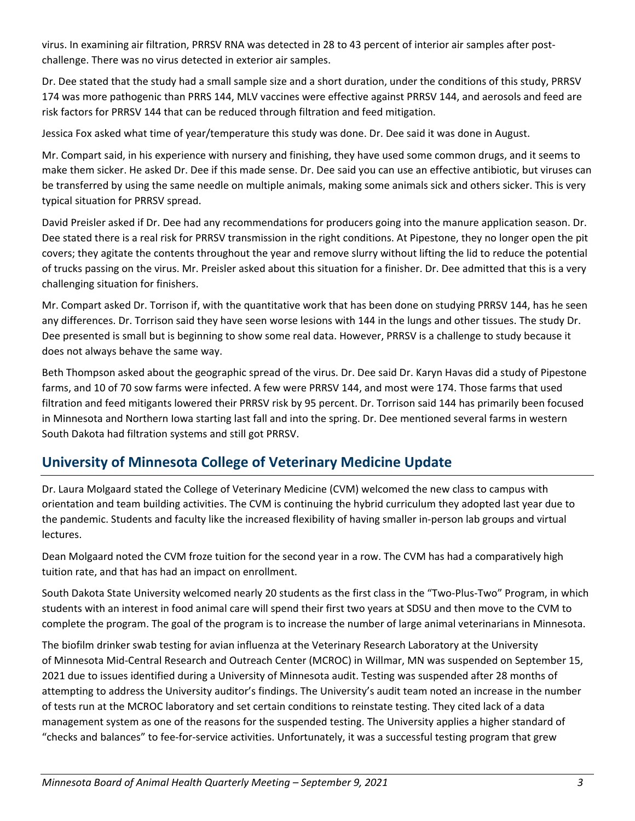virus. In examining air filtration, PRRSV RNA was detected in 28 to 43 percent of interior air samples after postchallenge. There was no virus detected in exterior air samples.

Dr. Dee stated that the study had a small sample size and a short duration, under the conditions of this study, PRRSV 174 was more pathogenic than PRRS 144, MLV vaccines were effective against PRRSV 144, and aerosols and feed are risk factors for PRRSV 144 that can be reduced through filtration and feed mitigation.

Jessica Fox asked what time of year/temperature this study was done. Dr. Dee said it was done in August.

Mr. Compart said, in his experience with nursery and finishing, they have used some common drugs, and it seems to make them sicker. He asked Dr. Dee if this made sense. Dr. Dee said you can use an effective antibiotic, but viruses can be transferred by using the same needle on multiple animals, making some animals sick and others sicker. This is very typical situation for PRRSV spread.

David Preisler asked if Dr. Dee had any recommendations for producers going into the manure application season. Dr. Dee stated there is a real risk for PRRSV transmission in the right conditions. At Pipestone, they no longer open the pit covers; they agitate the contents throughout the year and remove slurry without lifting the lid to reduce the potential of trucks passing on the virus. Mr. Preisler asked about this situation for a finisher. Dr. Dee admitted that this is a very challenging situation for finishers.

Mr. Compart asked Dr. Torrison if, with the quantitative work that has been done on studying PRRSV 144, has he seen any differences. Dr. Torrison said they have seen worse lesions with 144 in the lungs and other tissues. The study Dr. Dee presented is small but is beginning to show some real data. However, PRRSV is a challenge to study because it does not always behave the same way.

Beth Thompson asked about the geographic spread of the virus. Dr. Dee said Dr. Karyn Havas did a study of Pipestone farms, and 10 of 70 sow farms were infected. A few were PRRSV 144, and most were 174. Those farms that used filtration and feed mitigants lowered their PRRSV risk by 95 percent. Dr. Torrison said 144 has primarily been focused in Minnesota and Northern Iowa starting last fall and into the spring. Dr. Dee mentioned several farms in western South Dakota had filtration systems and still got PRRSV.

## **University of Minnesota College of Veterinary Medicine Update**

Dr. Laura Molgaard stated the College of Veterinary Medicine (CVM) welcomed the new class to campus with orientation and team building activities. The CVM is continuing the hybrid curriculum they adopted last year due to the pandemic. Students and faculty like the increased flexibility of having smaller in-person lab groups and virtual lectures.

Dean Molgaard noted the CVM froze tuition for the second year in a row. The CVM has had a comparatively high tuition rate, and that has had an impact on enrollment.

South Dakota State University welcomed nearly 20 students as the first class in the "Two-Plus-Two" Program, in which students with an interest in food animal care will spend their first two years at SDSU and then move to the CVM to complete the program. The goal of the program is to increase the number of large animal veterinarians in Minnesota.

The biofilm drinker swab testing for avian influenza at the Veterinary Research Laboratory at the University of Minnesota Mid-Central Research and Outreach Center (MCROC) in Willmar, MN was suspended on September 15, 2021 due to issues identified during a University of Minnesota audit. Testing was suspended after 28 months of attempting to address the University auditor's findings. The University's audit team noted an increase in the number of tests run at the MCROC laboratory and set certain conditions to reinstate testing. They cited lack of a data management system as one of the reasons for the suspended testing. The University applies a higher standard of "checks and balances" to fee-for-service activities. Unfortunately, it was a successful testing program that grew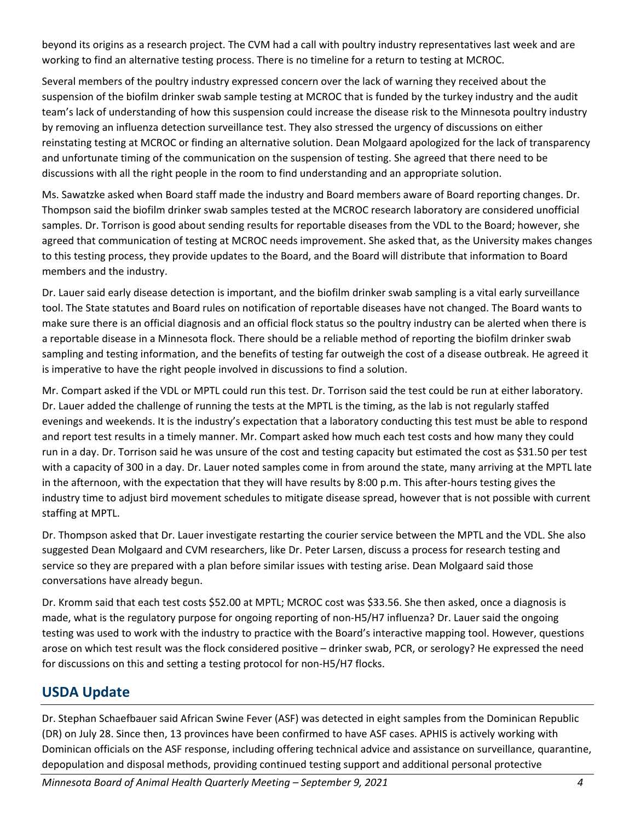beyond its origins as a research project. The CVM had a call with poultry industry representatives last week and are working to find an alternative testing process. There is no timeline for a return to testing at MCROC.

Several members of the poultry industry expressed concern over the lack of warning they received about the suspension of the biofilm drinker swab sample testing at MCROC that is funded by the turkey industry and the audit team's lack of understanding of how this suspension could increase the disease risk to the Minnesota poultry industry by removing an influenza detection surveillance test. They also stressed the urgency of discussions on either reinstating testing at MCROC or finding an alternative solution. Dean Molgaard apologized for the lack of transparency and unfortunate timing of the communication on the suspension of testing. She agreed that there need to be discussions with all the right people in the room to find understanding and an appropriate solution.

Ms. Sawatzke asked when Board staff made the industry and Board members aware of Board reporting changes. Dr. Thompson said the biofilm drinker swab samples tested at the MCROC research laboratory are considered unofficial samples. Dr. Torrison is good about sending results for reportable diseases from the VDL to the Board; however, she agreed that communication of testing at MCROC needs improvement. She asked that, as the University makes changes to this testing process, they provide updates to the Board, and the Board will distribute that information to Board members and the industry.

Dr. Lauer said early disease detection is important, and the biofilm drinker swab sampling is a vital early surveillance tool. The State statutes and Board rules on notification of reportable diseases have not changed. The Board wants to make sure there is an official diagnosis and an official flock status so the poultry industry can be alerted when there is a reportable disease in a Minnesota flock. There should be a reliable method of reporting the biofilm drinker swab sampling and testing information, and the benefits of testing far outweigh the cost of a disease outbreak. He agreed it is imperative to have the right people involved in discussions to find a solution.

Mr. Compart asked if the VDL or MPTL could run this test. Dr. Torrison said the test could be run at either laboratory. Dr. Lauer added the challenge of running the tests at the MPTL is the timing, as the lab is not regularly staffed evenings and weekends. It is the industry's expectation that a laboratory conducting this test must be able to respond and report test results in a timely manner. Mr. Compart asked how much each test costs and how many they could run in a day. Dr. Torrison said he was unsure of the cost and testing capacity but estimated the cost as \$31.50 per test with a capacity of 300 in a day. Dr. Lauer noted samples come in from around the state, many arriving at the MPTL late in the afternoon, with the expectation that they will have results by 8:00 p.m. This after-hours testing gives the industry time to adjust bird movement schedules to mitigate disease spread, however that is not possible with current staffing at MPTL.

Dr. Thompson asked that Dr. Lauer investigate restarting the courier service between the MPTL and the VDL. She also suggested Dean Molgaard and CVM researchers, like Dr. Peter Larsen, discuss a process for research testing and service so they are prepared with a plan before similar issues with testing arise. Dean Molgaard said those conversations have already begun.

Dr. Kromm said that each test costs \$52.00 at MPTL; MCROC cost was \$33.56. She then asked, once a diagnosis is made, what is the regulatory purpose for ongoing reporting of non-H5/H7 influenza? Dr. Lauer said the ongoing testing was used to work with the industry to practice with the Board's interactive mapping tool. However, questions arose on which test result was the flock considered positive – drinker swab, PCR, or serology? He expressed the need for discussions on this and setting a testing protocol for non-H5/H7 flocks.

## **USDA Update**

Dr. Stephan Schaefbauer said African Swine Fever (ASF) was detected in eight samples from the Dominican Republic (DR) on July 28. Since then, 13 provinces have been confirmed to have ASF cases. APHIS is actively working with Dominican officials on the ASF response, including offering technical advice and assistance on surveillance, quarantine, depopulation and disposal methods, providing continued testing support and additional personal protective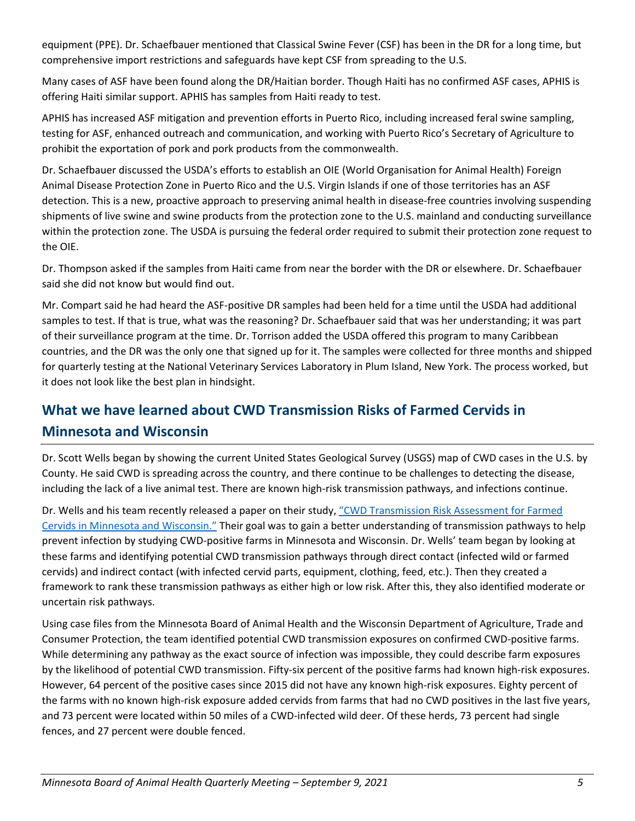equipment (PPE). Dr. Schaefbauer mentioned that Classical Swine Fever (CSF) has been in the DR for a long time, but comprehensive import restrictions and safeguards have kept CSF from spreading to the U.S.

Many cases of ASF have been found along the DR/Haitian border. Though Haiti has no confirmed ASF cases, APHIS is offering Haiti similar support. APHIS has samples from Haiti ready to test.

APHIS has increased ASF mitigation and prevention efforts in Puerto Rico, including increased feral swine sampling, testing for ASF, enhanced outreach and communication, and working with Puerto Rico's Secretary of Agriculture to prohibit the exportation of pork and pork products from the commonwealth.

Dr. Schaefbauer discussed the USDA's efforts to establish an OIE (World Organisation for Animal Health) Foreign Animal Disease Protection Zone in Puerto Rico and the U.S. Virgin Islands if one of those territories has an ASF detection. This is a new, proactive approach to preserving animal health in disease-free countries involving suspending shipments of live swine and swine products from the protection zone to the U.S. mainland and conducting surveillance within the protection zone. The USDA is pursuing the federal order required to submit their protection zone request to the OIE.

Dr. Thompson asked if the samples from Haiti came from near the border with the DR or elsewhere. Dr. Schaefbauer said she did not know but would find out.

Mr. Compart said he had heard the ASF-positive DR samples had been held for a time until the USDA had additional samples to test. If that is true, what was the reasoning? Dr. Schaefbauer said that was her understanding; it was part of their surveillance program at the time. Dr. Torrison added the USDA offered this program to many Caribbean countries, and the DR was the only one that signed up for it. The samples were collected for three months and shipped for quarterly testing at the National Veterinary Services Laboratory in Plum Island, New York. The process worked, but it does not look like the best plan in hindsight.

# **What we have learned about CWD Transmission Risks of Farmed Cervids in Minnesota and Wisconsin**

Dr. Scott Wells began by showing the current United States Geological Survey (USGS) map of CWD cases in the U.S. by County. He said CWD is spreading across the country, and there continue to be challenges to detecting the disease, including the lack of a live animal test. There are known high-risk transmission pathways, and infections continue.

Dr. Wells and his team recently released a paper on their study, ["CWD Transmission Risk Assessment for Farmed](https://www.mdpi.com/1999-4915/13/8/1586)  [Cervids in Minnesota and Wisconsin."](https://www.mdpi.com/1999-4915/13/8/1586) Their goal was to gain a better understanding of transmission pathways to help prevent infection by studying CWD-positive farms in Minnesota and Wisconsin. Dr. Wells' team began by looking at these farms and identifying potential CWD transmission pathways through direct contact (infected wild or farmed cervids) and indirect contact (with infected cervid parts, equipment, clothing, feed, etc.). Then they created a framework to rank these transmission pathways as either high or low risk. After this, they also identified moderate or uncertain risk pathways.

Using case files from the Minnesota Board of Animal Health and the Wisconsin Department of Agriculture, Trade and Consumer Protection, the team identified potential CWD transmission exposures on confirmed CWD-positive farms. While determining any pathway as the exact source of infection was impossible, they could describe farm exposures by the likelihood of potential CWD transmission. Fifty-six percent of the positive farms had known high-risk exposures. However, 64 percent of the positive cases since 2015 did not have any known high-risk exposures. Eighty percent of the farms with no known high-risk exposure added cervids from farms that had no CWD positives in the last five years, and 73 percent were located within 50 miles of a CWD-infected wild deer. Of these herds, 73 percent had single fences, and 27 percent were double fenced.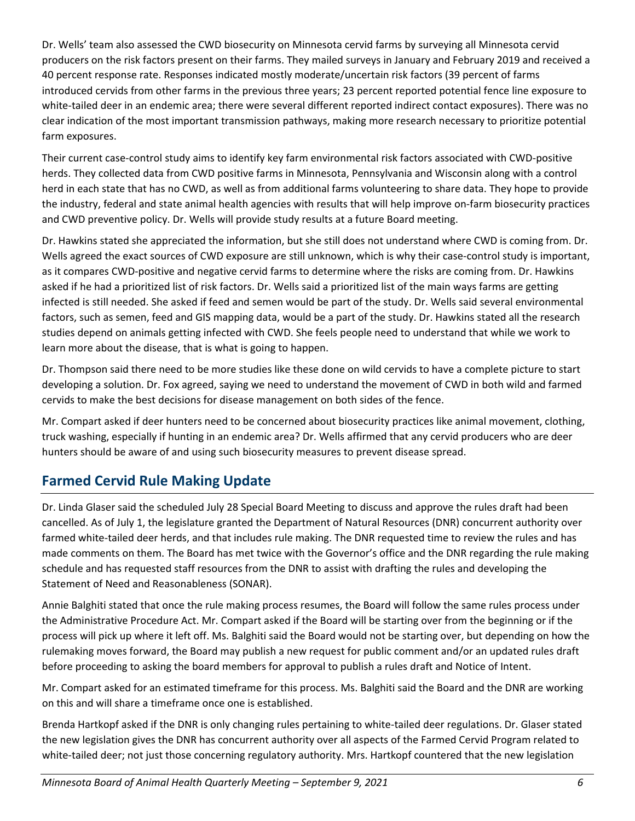Dr. Wells' team also assessed the CWD biosecurity on Minnesota cervid farms by surveying all Minnesota cervid producers on the risk factors present on their farms. They mailed surveys in January and February 2019 and received a 40 percent response rate. Responses indicated mostly moderate/uncertain risk factors (39 percent of farms introduced cervids from other farms in the previous three years; 23 percent reported potential fence line exposure to white-tailed deer in an endemic area; there were several different reported indirect contact exposures). There was no clear indication of the most important transmission pathways, making more research necessary to prioritize potential farm exposures.

Their current case-control study aims to identify key farm environmental risk factors associated with CWD-positive herds. They collected data from CWD positive farms in Minnesota, Pennsylvania and Wisconsin along with a control herd in each state that has no CWD, as well as from additional farms volunteering to share data. They hope to provide the industry, federal and state animal health agencies with results that will help improve on-farm biosecurity practices and CWD preventive policy. Dr. Wells will provide study results at a future Board meeting.

Dr. Hawkins stated she appreciated the information, but she still does not understand where CWD is coming from. Dr. Wells agreed the exact sources of CWD exposure are still unknown, which is why their case-control study is important, as it compares CWD-positive and negative cervid farms to determine where the risks are coming from. Dr. Hawkins asked if he had a prioritized list of risk factors. Dr. Wells said a prioritized list of the main ways farms are getting infected is still needed. She asked if feed and semen would be part of the study. Dr. Wells said several environmental factors, such as semen, feed and GIS mapping data, would be a part of the study. Dr. Hawkins stated all the research studies depend on animals getting infected with CWD. She feels people need to understand that while we work to learn more about the disease, that is what is going to happen.

Dr. Thompson said there need to be more studies like these done on wild cervids to have a complete picture to start developing a solution. Dr. Fox agreed, saying we need to understand the movement of CWD in both wild and farmed cervids to make the best decisions for disease management on both sides of the fence.

Mr. Compart asked if deer hunters need to be concerned about biosecurity practices like animal movement, clothing, truck washing, especially if hunting in an endemic area? Dr. Wells affirmed that any cervid producers who are deer hunters should be aware of and using such biosecurity measures to prevent disease spread.

## **Farmed Cervid Rule Making Update**

Dr. Linda Glaser said the scheduled July 28 Special Board Meeting to discuss and approve the rules draft had been cancelled. As of July 1, the legislature granted the Department of Natural Resources (DNR) concurrent authority over farmed white-tailed deer herds, and that includes rule making. The DNR requested time to review the rules and has made comments on them. The Board has met twice with the Governor's office and the DNR regarding the rule making schedule and has requested staff resources from the DNR to assist with drafting the rules and developing the Statement of Need and Reasonableness (SONAR).

Annie Balghiti stated that once the rule making process resumes, the Board will follow the same rules process under the Administrative Procedure Act. Mr. Compart asked if the Board will be starting over from the beginning or if the process will pick up where it left off. Ms. Balghiti said the Board would not be starting over, but depending on how the rulemaking moves forward, the Board may publish a new request for public comment and/or an updated rules draft before proceeding to asking the board members for approval to publish a rules draft and Notice of Intent.

Mr. Compart asked for an estimated timeframe for this process. Ms. Balghiti said the Board and the DNR are working on this and will share a timeframe once one is established.

Brenda Hartkopf asked if the DNR is only changing rules pertaining to white-tailed deer regulations. Dr. Glaser stated the new legislation gives the DNR has concurrent authority over all aspects of the Farmed Cervid Program related to white-tailed deer; not just those concerning regulatory authority. Mrs. Hartkopf countered that the new legislation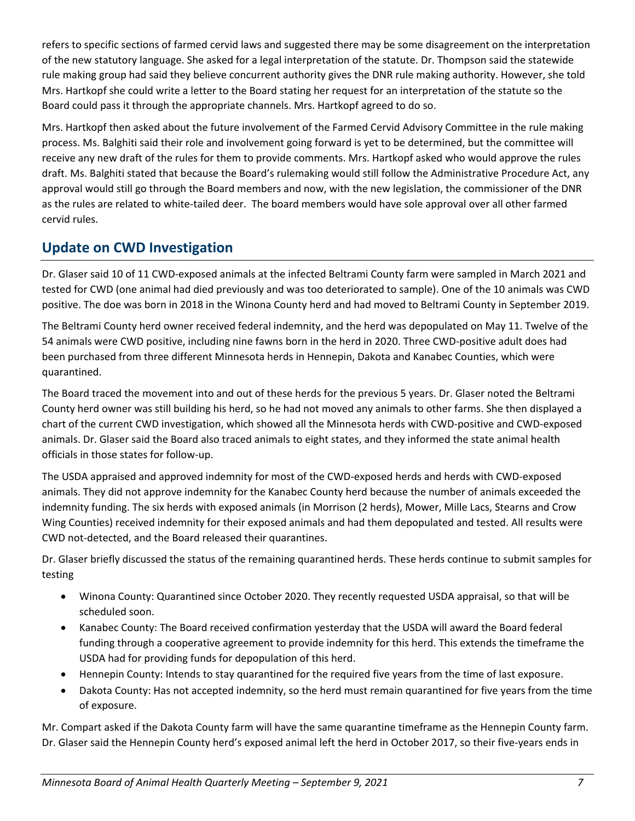refers to specific sections of farmed cervid laws and suggested there may be some disagreement on the interpretation of the new statutory language. She asked for a legal interpretation of the statute. Dr. Thompson said the statewide rule making group had said they believe concurrent authority gives the DNR rule making authority. However, she told Mrs. Hartkopf she could write a letter to the Board stating her request for an interpretation of the statute so the Board could pass it through the appropriate channels. Mrs. Hartkopf agreed to do so.

Mrs. Hartkopf then asked about the future involvement of the Farmed Cervid Advisory Committee in the rule making process. Ms. Balghiti said their role and involvement going forward is yet to be determined, but the committee will receive any new draft of the rules for them to provide comments. Mrs. Hartkopf asked who would approve the rules draft. Ms. Balghiti stated that because the Board's rulemaking would still follow the Administrative Procedure Act, any approval would still go through the Board members and now, with the new legislation, the commissioner of the DNR as the rules are related to white-tailed deer. The board members would have sole approval over all other farmed cervid rules.

## **Update on CWD Investigation**

Dr. Glaser said 10 of 11 CWD-exposed animals at the infected Beltrami County farm were sampled in March 2021 and tested for CWD (one animal had died previously and was too deteriorated to sample). One of the 10 animals was CWD positive. The doe was born in 2018 in the Winona County herd and had moved to Beltrami County in September 2019.

The Beltrami County herd owner received federal indemnity, and the herd was depopulated on May 11. Twelve of the 54 animals were CWD positive, including nine fawns born in the herd in 2020. Three CWD-positive adult does had been purchased from three different Minnesota herds in Hennepin, Dakota and Kanabec Counties, which were quarantined.

The Board traced the movement into and out of these herds for the previous 5 years. Dr. Glaser noted the Beltrami County herd owner was still building his herd, so he had not moved any animals to other farms. She then displayed a chart of the current CWD investigation, which showed all the Minnesota herds with CWD-positive and CWD-exposed animals. Dr. Glaser said the Board also traced animals to eight states, and they informed the state animal health officials in those states for follow-up.

The USDA appraised and approved indemnity for most of the CWD-exposed herds and herds with CWD-exposed animals. They did not approve indemnity for the Kanabec County herd because the number of animals exceeded the indemnity funding. The six herds with exposed animals (in Morrison (2 herds), Mower, Mille Lacs, Stearns and Crow Wing Counties) received indemnity for their exposed animals and had them depopulated and tested. All results were CWD not-detected, and the Board released their quarantines.

Dr. Glaser briefly discussed the status of the remaining quarantined herds. These herds continue to submit samples for testing

- Winona County: Quarantined since October 2020. They recently requested USDA appraisal, so that will be scheduled soon.
- Kanabec County: The Board received confirmation yesterday that the USDA will award the Board federal funding through a cooperative agreement to provide indemnity for this herd. This extends the timeframe the USDA had for providing funds for depopulation of this herd.
- Hennepin County: Intends to stay quarantined for the required five years from the time of last exposure.
- Dakota County: Has not accepted indemnity, so the herd must remain quarantined for five years from the time of exposure.

Mr. Compart asked if the Dakota County farm will have the same quarantine timeframe as the Hennepin County farm. Dr. Glaser said the Hennepin County herd's exposed animal left the herd in October 2017, so their five-years ends in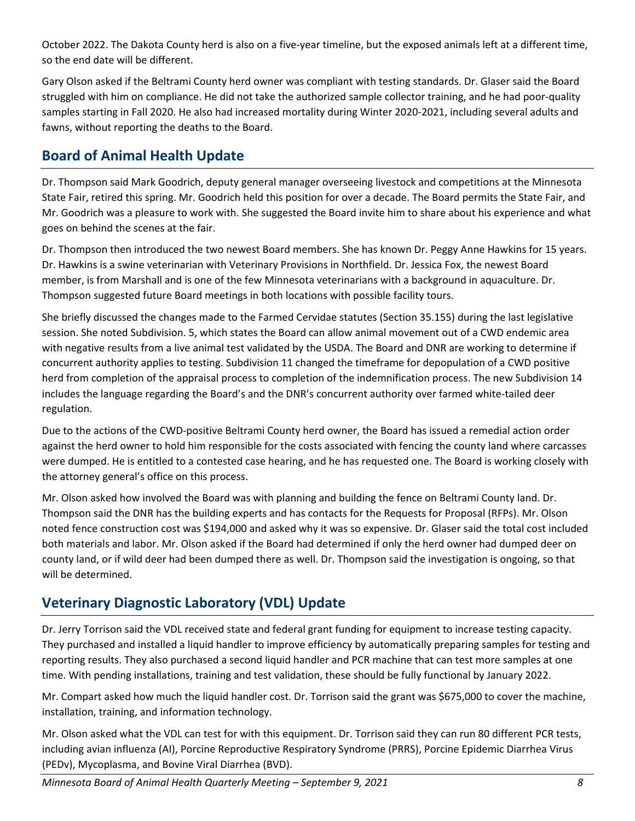October 2022. The Dakota County herd is also on a five-year timeline, but the exposed animals left at a different time, so the end date will be different.

Gary Olson asked if the Beltrami County herd owner was compliant with testing standards. Dr. Glaser said the Board struggled with him on compliance. He did not take the authorized sample collector training, and he had poor-quality samples starting in Fall 2020. He also had increased mortality during Winter 2020-2021, including several adults and fawns, without reporting the deaths to the Board.

## **Board of Animal Health Update**

Dr. Thompson said Mark Goodrich, deputy general manager overseeing livestock and competitions at the Minnesota State Fair, retired this spring. Mr. Goodrich held this position for over a decade. The Board permits the State Fair, and Mr. Goodrich was a pleasure to work with. She suggested the Board invite him to share about his experience and what goes on behind the scenes at the fair.

Dr. Thompson then introduced the two newest Board members. She has known Dr. Peggy Anne Hawkins for 15 years. Dr. Hawkins is a swine veterinarian with Veterinary Provisions in Northfield. Dr. Jessica Fox, the newest Board member, is from Marshall and is one of the few Minnesota veterinarians with a background in aquaculture. Dr. Thompson suggested future Board meetings in both locations with possible facility tours.

She briefly discussed the changes made to the Farmed Cervidae statutes (Section 35.155) during the last legislative session. She noted Subdivision. 5, which states the Board can allow animal movement out of a CWD endemic area with negative results from a live animal test validated by the USDA. The Board and DNR are working to determine if concurrent authority applies to testing. Subdivision 11 changed the timeframe for depopulation of a CWD positive herd from completion of the appraisal process to completion of the indemnification process. The new Subdivision 14 includes the language regarding the Board's and the DNR's concurrent authority over farmed white-tailed deer regulation.

Due to the actions of the CWD-positive Beltrami County herd owner, the Board has issued a remedial action order against the herd owner to hold him responsible for the costs associated with fencing the county land where carcasses were dumped. He is entitled to a contested case hearing, and he has requested one. The Board is working closely with the attorney general's office on this process.

Mr. Olson asked how involved the Board was with planning and building the fence on Beltrami County land. Dr. Thompson said the DNR has the building experts and has contacts for the Requests for Proposal (RFPs). Mr. Olson noted fence construction cost was \$194,000 and asked why it was so expensive. Dr. Glaser said the total cost included both materials and labor. Mr. Olson asked if the Board had determined if only the herd owner had dumped deer on county land, or if wild deer had been dumped there as well. Dr. Thompson said the investigation is ongoing, so that will be determined.

# **Veterinary Diagnostic Laboratory (VDL) Update**

Dr. Jerry Torrison said the VDL received state and federal grant funding for equipment to increase testing capacity. They purchased and installed a liquid handler to improve efficiency by automatically preparing samples for testing and reporting results. They also purchased a second liquid handler and PCR machine that can test more samples at one time. With pending installations, training and test validation, these should be fully functional by January 2022.

Mr. Compart asked how much the liquid handler cost. Dr. Torrison said the grant was \$675,000 to cover the machine, installation, training, and information technology.

Mr. Olson asked what the VDL can test for with this equipment. Dr. Torrison said they can run 80 different PCR tests, including avian influenza (AI), Porcine Reproductive Respiratory Syndrome (PRRS), Porcine Epidemic Diarrhea Virus (PEDv), Mycoplasma, and Bovine Viral Diarrhea (BVD).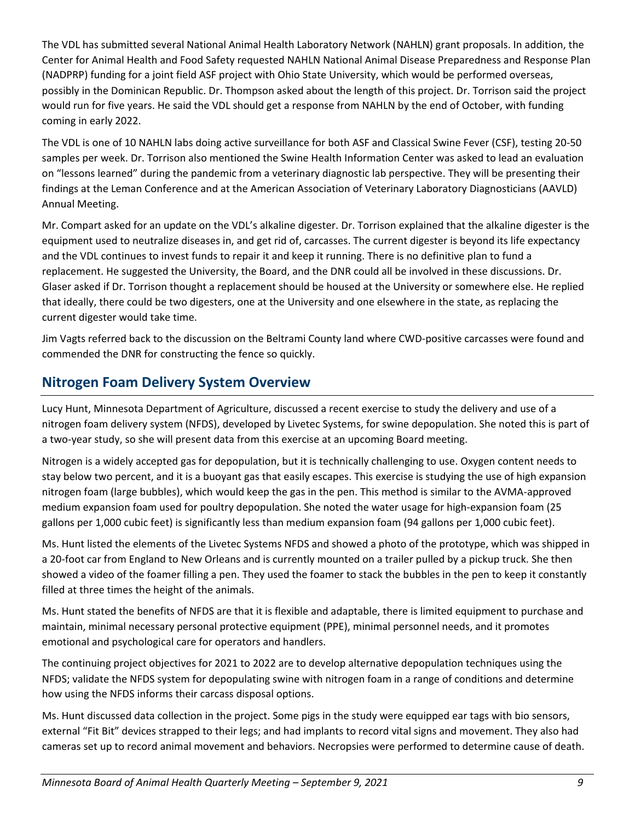The VDL has submitted several National Animal Health Laboratory Network (NAHLN) grant proposals. In addition, the Center for Animal Health and Food Safety requested NAHLN National Animal Disease Preparedness and Response Plan (NADPRP) funding for a joint field ASF project with Ohio State University, which would be performed overseas, possibly in the Dominican Republic. Dr. Thompson asked about the length of this project. Dr. Torrison said the project would run for five years. He said the VDL should get a response from NAHLN by the end of October, with funding coming in early 2022.

The VDL is one of 10 NAHLN labs doing active surveillance for both ASF and Classical Swine Fever (CSF), testing 20-50 samples per week. Dr. Torrison also mentioned the Swine Health Information Center was asked to lead an evaluation on "lessons learned" during the pandemic from a veterinary diagnostic lab perspective. They will be presenting their findings at the Leman Conference and at the American Association of Veterinary Laboratory Diagnosticians (AAVLD) Annual Meeting.

Mr. Compart asked for an update on the VDL's alkaline digester. Dr. Torrison explained that the alkaline digester is the equipment used to neutralize diseases in, and get rid of, carcasses. The current digester is beyond its life expectancy and the VDL continues to invest funds to repair it and keep it running. There is no definitive plan to fund a replacement. He suggested the University, the Board, and the DNR could all be involved in these discussions. Dr. Glaser asked if Dr. Torrison thought a replacement should be housed at the University or somewhere else. He replied that ideally, there could be two digesters, one at the University and one elsewhere in the state, as replacing the current digester would take time.

Jim Vagts referred back to the discussion on the Beltrami County land where CWD-positive carcasses were found and commended the DNR for constructing the fence so quickly.

## **Nitrogen Foam Delivery System Overview**

Lucy Hunt, Minnesota Department of Agriculture, discussed a recent exercise to study the delivery and use of a nitrogen foam delivery system (NFDS), developed by Livetec Systems, for swine depopulation. She noted this is part of a two-year study, so she will present data from this exercise at an upcoming Board meeting.

Nitrogen is a widely accepted gas for depopulation, but it is technically challenging to use. Oxygen content needs to stay below two percent, and it is a buoyant gas that easily escapes. This exercise is studying the use of high expansion nitrogen foam (large bubbles), which would keep the gas in the pen. This method is similar to the AVMA-approved medium expansion foam used for poultry depopulation. She noted the water usage for high-expansion foam (25 gallons per 1,000 cubic feet) is significantly less than medium expansion foam (94 gallons per 1,000 cubic feet).

Ms. Hunt listed the elements of the Livetec Systems NFDS and showed a photo of the prototype, which was shipped in a 20-foot car from England to New Orleans and is currently mounted on a trailer pulled by a pickup truck. She then showed a video of the foamer filling a pen. They used the foamer to stack the bubbles in the pen to keep it constantly filled at three times the height of the animals.

Ms. Hunt stated the benefits of NFDS are that it is flexible and adaptable, there is limited equipment to purchase and maintain, minimal necessary personal protective equipment (PPE), minimal personnel needs, and it promotes emotional and psychological care for operators and handlers.

The continuing project objectives for 2021 to 2022 are to develop alternative depopulation techniques using the NFDS; validate the NFDS system for depopulating swine with nitrogen foam in a range of conditions and determine how using the NFDS informs their carcass disposal options.

Ms. Hunt discussed data collection in the project. Some pigs in the study were equipped ear tags with bio sensors, external "Fit Bit" devices strapped to their legs; and had implants to record vital signs and movement. They also had cameras set up to record animal movement and behaviors. Necropsies were performed to determine cause of death.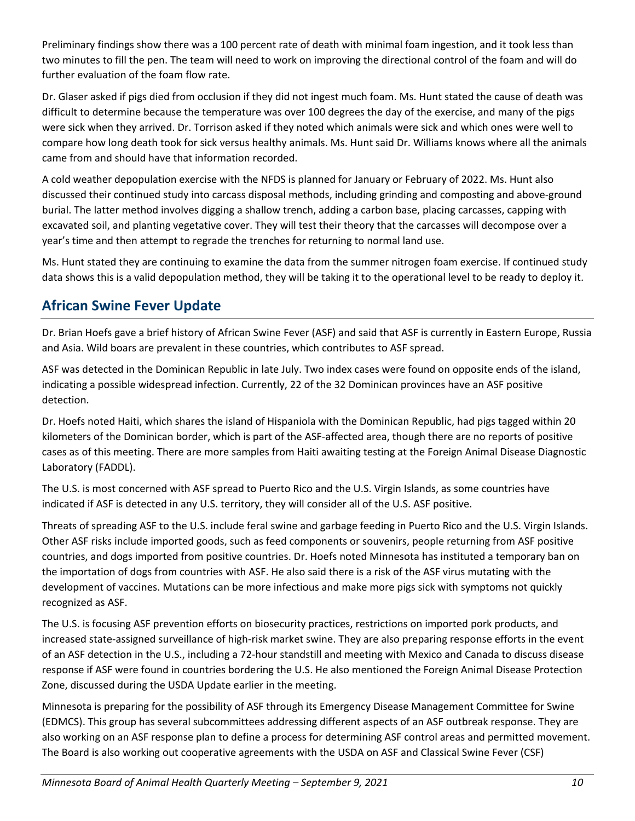Preliminary findings show there was a 100 percent rate of death with minimal foam ingestion, and it took less than two minutes to fill the pen. The team will need to work on improving the directional control of the foam and will do further evaluation of the foam flow rate.

Dr. Glaser asked if pigs died from occlusion if they did not ingest much foam. Ms. Hunt stated the cause of death was difficult to determine because the temperature was over 100 degrees the day of the exercise, and many of the pigs were sick when they arrived. Dr. Torrison asked if they noted which animals were sick and which ones were well to compare how long death took for sick versus healthy animals. Ms. Hunt said Dr. Williams knows where all the animals came from and should have that information recorded.

A cold weather depopulation exercise with the NFDS is planned for January or February of 2022. Ms. Hunt also discussed their continued study into carcass disposal methods, including grinding and composting and above-ground burial. The latter method involves digging a shallow trench, adding a carbon base, placing carcasses, capping with excavated soil, and planting vegetative cover. They will test their theory that the carcasses will decompose over a year's time and then attempt to regrade the trenches for returning to normal land use.

Ms. Hunt stated they are continuing to examine the data from the summer nitrogen foam exercise. If continued study data shows this is a valid depopulation method, they will be taking it to the operational level to be ready to deploy it.

## **African Swine Fever Update**

Dr. Brian Hoefs gave a brief history of African Swine Fever (ASF) and said that ASF is currently in Eastern Europe, Russia and Asia. Wild boars are prevalent in these countries, which contributes to ASF spread.

ASF was detected in the Dominican Republic in late July. Two index cases were found on opposite ends of the island, indicating a possible widespread infection. Currently, 22 of the 32 Dominican provinces have an ASF positive detection.

Dr. Hoefs noted Haiti, which shares the island of Hispaniola with the Dominican Republic, had pigs tagged within 20 kilometers of the Dominican border, which is part of the ASF-affected area, though there are no reports of positive cases as of this meeting. There are more samples from Haiti awaiting testing at the Foreign Animal Disease Diagnostic Laboratory (FADDL).

The U.S. is most concerned with ASF spread to Puerto Rico and the U.S. Virgin Islands, as some countries have indicated if ASF is detected in any U.S. territory, they will consider all of the U.S. ASF positive.

Threats of spreading ASF to the U.S. include feral swine and garbage feeding in Puerto Rico and the U.S. Virgin Islands. Other ASF risks include imported goods, such as feed components or souvenirs, people returning from ASF positive countries, and dogs imported from positive countries. Dr. Hoefs noted Minnesota has instituted a temporary ban on the importation of dogs from countries with ASF. He also said there is a risk of the ASF virus mutating with the development of vaccines. Mutations can be more infectious and make more pigs sick with symptoms not quickly recognized as ASF.

The U.S. is focusing ASF prevention efforts on biosecurity practices, restrictions on imported pork products, and increased state-assigned surveillance of high-risk market swine. They are also preparing response efforts in the event of an ASF detection in the U.S., including a 72-hour standstill and meeting with Mexico and Canada to discuss disease response if ASF were found in countries bordering the U.S. He also mentioned the Foreign Animal Disease Protection Zone, discussed during the USDA Update earlier in the meeting.

Minnesota is preparing for the possibility of ASF through its Emergency Disease Management Committee for Swine (EDMCS). This group has several subcommittees addressing different aspects of an ASF outbreak response. They are also working on an ASF response plan to define a process for determining ASF control areas and permitted movement. The Board is also working out cooperative agreements with the USDA on ASF and Classical Swine Fever (CSF)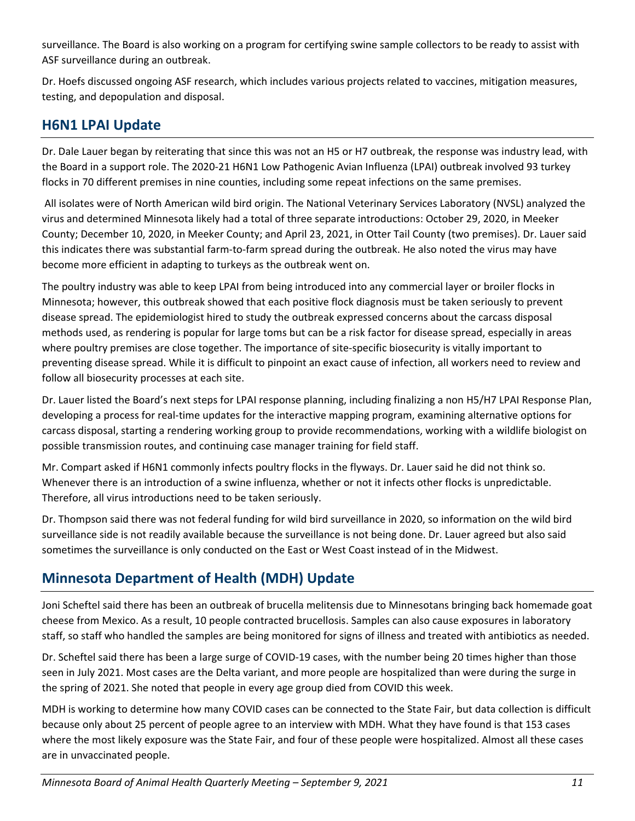surveillance. The Board is also working on a program for certifying swine sample collectors to be ready to assist with ASF surveillance during an outbreak.

Dr. Hoefs discussed ongoing ASF research, which includes various projects related to vaccines, mitigation measures, testing, and depopulation and disposal.

## **H6N1 LPAI Update**

Dr. Dale Lauer began by reiterating that since this was not an H5 or H7 outbreak, the response was industry lead, with the Board in a support role. The 2020-21 H6N1 Low Pathogenic Avian Influenza (LPAI) outbreak involved 93 turkey flocks in 70 different premises in nine counties, including some repeat infections on the same premises.

 All isolates were of North American wild bird origin. The National Veterinary Services Laboratory (NVSL) analyzed the virus and determined Minnesota likely had a total of three separate introductions: October 29, 2020, in Meeker County; December 10, 2020, in Meeker County; and April 23, 2021, in Otter Tail County (two premises). Dr. Lauer said this indicates there was substantial farm-to-farm spread during the outbreak. He also noted the virus may have become more efficient in adapting to turkeys as the outbreak went on.

The poultry industry was able to keep LPAI from being introduced into any commercial layer or broiler flocks in Minnesota; however, this outbreak showed that each positive flock diagnosis must be taken seriously to prevent disease spread. The epidemiologist hired to study the outbreak expressed concerns about the carcass disposal methods used, as rendering is popular for large toms but can be a risk factor for disease spread, especially in areas where poultry premises are close together. The importance of site-specific biosecurity is vitally important to preventing disease spread. While it is difficult to pinpoint an exact cause of infection, all workers need to review and follow all biosecurity processes at each site.

Dr. Lauer listed the Board's next steps for LPAI response planning, including finalizing a non H5/H7 LPAI Response Plan, developing a process for real-time updates for the interactive mapping program, examining alternative options for carcass disposal, starting a rendering working group to provide recommendations, working with a wildlife biologist on possible transmission routes, and continuing case manager training for field staff.

Mr. Compart asked if H6N1 commonly infects poultry flocks in the flyways. Dr. Lauer said he did not think so. Whenever there is an introduction of a swine influenza, whether or not it infects other flocks is unpredictable. Therefore, all virus introductions need to be taken seriously.

Dr. Thompson said there was not federal funding for wild bird surveillance in 2020, so information on the wild bird surveillance side is not readily available because the surveillance is not being done. Dr. Lauer agreed but also said sometimes the surveillance is only conducted on the East or West Coast instead of in the Midwest.

# **Minnesota Department of Health (MDH) Update**

Joni Scheftel said there has been an outbreak of brucella melitensis due to Minnesotans bringing back homemade goat cheese from Mexico. As a result, 10 people contracted brucellosis. Samples can also cause exposures in laboratory staff, so staff who handled the samples are being monitored for signs of illness and treated with antibiotics as needed.

Dr. Scheftel said there has been a large surge of COVID-19 cases, with the number being 20 times higher than those seen in July 2021. Most cases are the Delta variant, and more people are hospitalized than were during the surge in the spring of 2021. She noted that people in every age group died from COVID this week.

MDH is working to determine how many COVID cases can be connected to the State Fair, but data collection is difficult because only about 25 percent of people agree to an interview with MDH. What they have found is that 153 cases where the most likely exposure was the State Fair, and four of these people were hospitalized. Almost all these cases are in unvaccinated people.